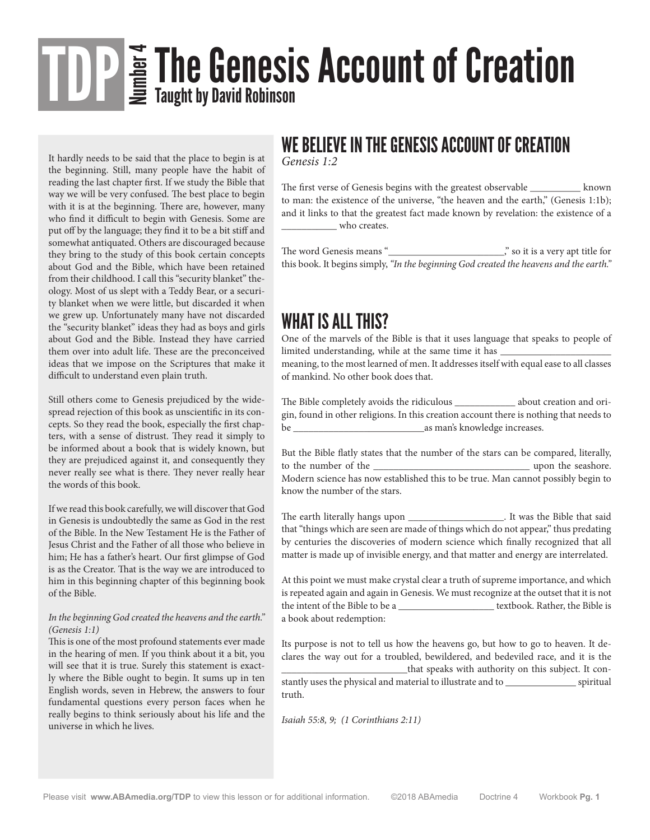# $\sum\limits_{m=-\infty}^{\infty}\prod\limits_{\mathbf{A}\in\mathcal{A}}\mathbf{C}_\mathbf{A}$  and  $\sum\limits_{m=-\infty}^{\infty}\mathbf{C}_\mathbf{A}$  and  $\sum\limits_{m=-\infty}^{\infty}\mathbf{C}_\mathbf{A}$  and  $\sum\limits_{m=-\infty}^{\infty}\mathbf{C}_\mathbf{A}$  and  $\sum\limits_{m=-\infty}^{\infty}\mathbf{C}_\mathbf{A}$  and  $\sum\limits_{m=-\infty}^{\infty}\mathbf{C}_\mathbf{A}$  and TDP

It hardly needs to be said that the place to begin is at the beginning. Still, many people have the habit of reading the last chapter first. If we study the Bible that way we will be very confused. The best place to begin with it is at the beginning. There are, however, many who find it difficult to begin with Genesis. Some are put off by the language; they find it to be a bit stiff and somewhat antiquated. Others are discouraged because they bring to the study of this book certain concepts about God and the Bible, which have been retained from their childhood. I call this "security blanket" theology. Most of us slept with a Teddy Bear, or a security blanket when we were little, but discarded it when we grew up. Unfortunately many have not discarded the "security blanket" ideas they had as boys and girls about God and the Bible. Instead they have carried them over into adult life. These are the preconceived ideas that we impose on the Scriptures that make it difficult to understand even plain truth.

Still others come to Genesis prejudiced by the widespread rejection of this book as unscientific in its concepts. So they read the book, especially the first chapters, with a sense of distrust. They read it simply to be informed about a book that is widely known, but they are prejudiced against it, and consequently they never really see what is there. They never really hear the words of this book.

If we read this book carefully, we will discover that God in Genesis is undoubtedly the same as God in the rest of the Bible. In the New Testament He is the Father of Jesus Christ and the Father of all those who believe in him; He has a father's heart. Our first glimpse of God is as the Creator. That is the way we are introduced to him in this beginning chapter of this beginning book of the Bible.

#### *In the beginning God created the heavens and the earth." (Genesis 1:1)*

This is one of the most profound statements ever made in the hearing of men. If you think about it a bit, you will see that it is true. Surely this statement is exactly where the Bible ought to begin. It sums up in ten English words, seven in Hebrew, the answers to four fundamental questions every person faces when he really begins to think seriously about his life and the universe in which he lives.

### WE BELIEVE IN THE GENESIS ACCOUNT OF CREATION

*Genesis 1:2* 

The first verse of Genesis begins with the greatest observable \_\_\_\_\_\_\_\_\_\_ known to man: the existence of the universe, "the heaven and the earth," (Genesis 1:1b); and it links to that the greatest fact made known by revelation: the existence of a \_\_\_\_\_\_\_\_\_\_\_ who creates.

The word Genesis means "\_\_\_\_\_\_\_\_\_\_\_\_\_\_\_\_\_\_\_\_\_\_\_," so it is a very apt title for this book. It begins simply, *"In the beginning God created the heavens and the earth."*

#### WHAT IS ALL THIS?

One of the marvels of the Bible is that it uses language that speaks to people of limited understanding, while at the same time it has \_

meaning, to the most learned of men. It addresses itself with equal ease to all classes of mankind. No other book does that.

The Bible completely avoids the ridiculous \_\_\_\_\_\_\_\_\_\_\_\_ about creation and origin, found in other religions. In this creation account there is nothing that needs to be  $\qquad \qquad \text{as man's knowledge increases.}$ 

But the Bible flatly states that the number of the stars can be compared, literally, to the number of the  $\qquad \qquad$ Modern science has now established this to be true. Man cannot possibly begin to know the number of the stars.

The earth literally hangs upon \_\_\_\_\_\_\_\_\_\_\_\_\_\_\_\_\_\_\_\_\_\_\_. It was the Bible that said that "things which are seen are made of things which do not appear," thus predating by centuries the discoveries of modern science which finally recognized that all matter is made up of invisible energy, and that matter and energy are interrelated.

At this point we must make crystal clear a truth of supreme importance, and which is repeated again and again in Genesis. We must recognize at the outset that it is not the intent of the Bible to be a \_\_\_\_\_\_\_\_\_\_\_\_\_\_\_\_\_\_\_ textbook. Rather, the Bible is a book about redemption:

Its purpose is not to tell us how the heavens go, but how to go to heaven. It declares the way out for a troubled, bewildered, and bedeviled race, and it is the that speaks with authority on this subject. It constantly uses the physical and material to illustrate and to \_\_\_\_\_\_\_\_\_\_\_\_\_\_ spiritual truth.

*Isaiah 55:8, 9; (1 Corinthians 2:11)*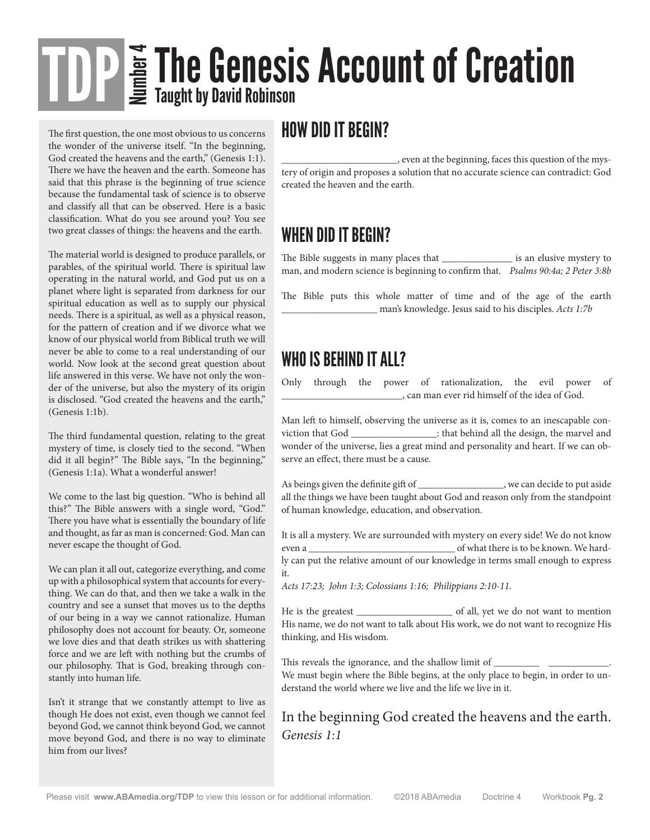# The Genesis Account of Creation Taught by David Robinson

The first question, the one most obvious to us concerns the wonder of the universe itself. "In the beginning, God created the heavens and the earth," (Genesis 1:1). There we have the heaven and the earth. Someone has said that this phrase is the beginning of true science because the fundamental task of science is to observe and classify all that can be observed. Here is a basic classification. What do you see around you? You see two great classes of things: the heavens and the earth.

The material world is designed to produce parallels, or parables, of the spiritual world. There is spiritual law operating in the natural world, and God put us on a planet where light is separated from darkness for our spiritual education as well as to supply our physical needs. There is a spiritual, as well as a physical reason, for the pattern of creation and if we divorce what we know of our physical world from Biblical truth we will never be able to come to a real understanding of our world. Now look at the second great question about life answered in this verse. We have not only the wonder of the universe, but also the mystery of its origin is disclosed. "God created the heavens and the earth," (Genesis 1:1b).

The third fundamental question, relating to the great mystery of time, is closely tied to the second. "When did it all begin?" The Bible says, "In the beginning," (Genesis 1:1a). What a wonderful answer!

We come to the last big question. "Who is behind all this?" The Bible answers with a single word, "God." There you have what is essentially the boundary of life and thought, as far as man is concerned: God. Man can never escape the thought of God.

We can plan it all out, categorize everything, and come up with a philosophical system that accounts for everything. We can do that, and then we take a walk in the country and see a sunset that moves us to the depths of our being in a way we cannot rationalize. Human philosophy does not account for beauty. Or, someone we love dies and that death strikes us with shattering force and we are left with nothing but the crumbs of our philosophy. That is God, breaking through constantly into human life.

Isn't it strange that we constantly attempt to live as though He does not exist, even though we cannot feel beyond God, we cannot think beyond God, we cannot move beyond God, and there is no way to eliminate him from our lives?

#### HOW DID IT BEGIN?

\_\_\_\_\_\_\_\_\_\_\_\_\_\_\_\_\_\_\_\_\_\_\_, even at the beginning, faces this question of the mystery of origin and proposes a solution that no accurate science can contradict: God created the heaven and the earth.

#### WHEN DID IT BEGIN?

The Bible suggests in many places that \_\_\_\_\_\_\_\_\_\_\_\_\_\_ is an elusive mystery to man, and modern science is beginning to confirm that. *Psalms 90:4a; 2 Peter 3:8b*

The Bible puts this whole matter of time and of the age of the earth \_\_\_\_\_\_\_\_\_\_\_\_\_\_\_\_\_\_\_ man's knowledge. Jesus said to his disciples. *Acts 1:7b*

#### WHO IS BEHIND IT ALL?

Only through the power of rationalization, the evil power of \_\_\_\_\_\_\_\_\_\_\_\_\_\_\_\_\_\_\_\_\_\_\_\_, can man ever rid himself of the idea of God.

Man left to himself, observing the universe as it is, comes to an inescapable conviction that God \_\_\_\_\_\_\_\_\_\_\_\_\_\_\_\_\_: that behind all the design, the marvel and wonder of the universe, lies a great mind and personality and heart. If we can observe an effect, there must be a cause.

As beings given the definite gift of \_\_\_\_\_\_\_\_\_\_\_\_\_\_\_\_\_, we can decide to put aside all the things we have been taught about God and reason only from the standpoint of human knowledge, education, and observation.

It is all a mystery. We are surrounded with mystery on every side! We do not know even a \_\_\_\_\_\_\_\_\_\_\_\_\_\_\_\_\_\_\_\_\_\_\_\_\_\_\_\_\_ of what there is to be known. We hardly can put the relative amount of our knowledge in terms small enough to express it.

*Acts 17:23; John 1:3; Colossians 1:16; Philippians 2:10-11.*

He is the greatest \_\_\_\_\_\_\_\_\_\_\_\_\_\_\_\_\_\_\_ of all, yet we do not want to mention His name, we do not want to talk about His work, we do not want to recognize His thinking, and His wisdom.

This reveals the ignorance, and the shallow limit of \_\_\_\_\_\_\_\_\_ \_\_\_\_\_\_\_\_\_\_\_\_.

We must begin where the Bible begins, at the only place to begin, in order to understand the world where we live and the life we live in it.

#### In the beginning God created the heavens and the earth. *Genesis 1:1*